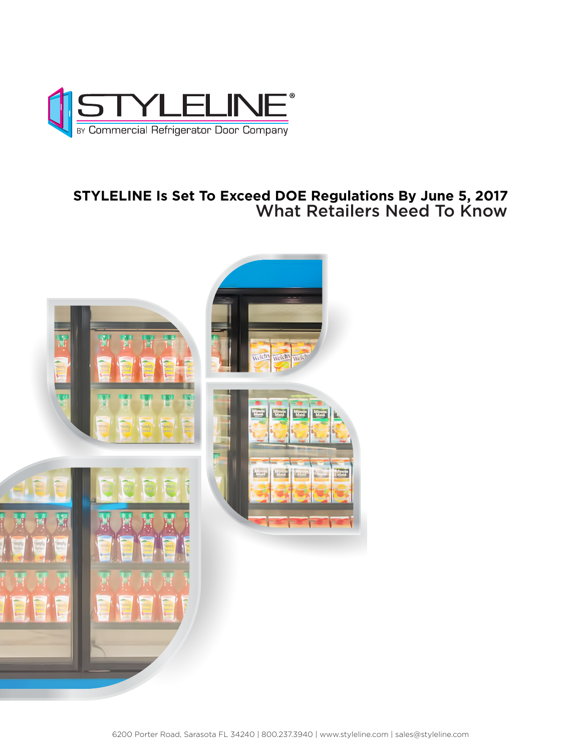

## **STYLELINE Is Set To Exceed DOE Regulations By June 5, 2017** What Retailers Need To Know